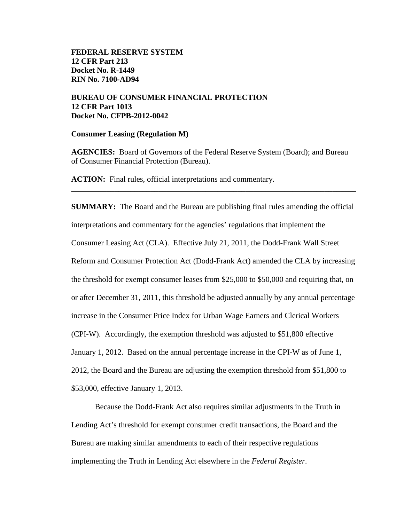# **BUREAU OF CONSUMER FINANCIAL PROTECTION 12 CFR Part 1013 Docket No. CFPB-2012-0042**

#### **Consumer Leasing (Regulation M)**

**AGENCIES:** Board of Governors of the Federal Reserve System (Board); and Bureau of Consumer Financial Protection (Bureau).

\_\_\_\_\_\_\_\_\_\_\_\_\_\_\_\_\_\_\_\_\_\_\_\_\_\_\_\_\_\_\_\_\_\_\_\_\_\_\_\_\_\_\_\_\_\_\_\_\_\_\_\_\_\_\_\_\_\_\_\_\_\_\_\_\_\_\_\_\_\_\_\_

**ACTION:** Final rules, official interpretations and commentary.

**SUMMARY:** The Board and the Bureau are publishing final rules amending the official interpretations and commentary for the agencies' regulations that implement the Consumer Leasing Act (CLA). Effective July 21, 2011, the Dodd-Frank Wall Street Reform and Consumer Protection Act (Dodd-Frank Act) amended the CLA by increasing the threshold for exempt consumer leases from \$25,000 to \$50,000 and requiring that, on or after December 31, 2011, this threshold be adjusted annually by any annual percentage increase in the Consumer Price Index for Urban Wage Earners and Clerical Workers (CPI-W). Accordingly, the exemption threshold was adjusted to \$51,800 effective January 1, 2012. Based on the annual percentage increase in the CPI-W as of June 1, 2012, the Board and the Bureau are adjusting the exemption threshold from \$51,800 to \$53,000, effective January 1, 2013.

<span id="page-0-0"></span>Because the Dodd-Frank Act also requires similar adjustments in the Truth in Lending Act's threshold for exempt consumer credit transactions, the Board and the Bureau are making similar amendments to each of their respective regulations implementing the Truth in Lending Act elsewhere in the *Federal Register*.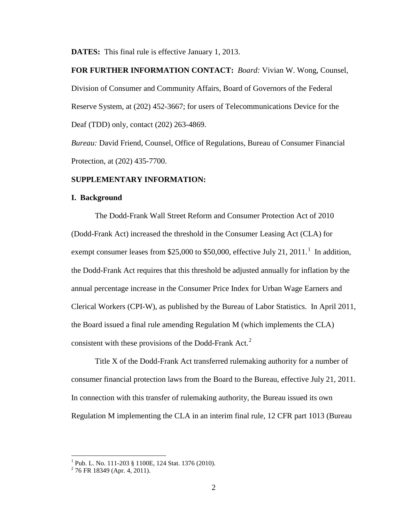**DATES:** This final rule is effective January 1, 2013.

**FOR FURTHER INFORMATION CONTACT:** *Board:* Vivian W. Wong, Counsel, Division of Consumer and Community Affairs, Board of Governors of the Federal Reserve System, at (202) 452-3667; for users of Telecommunications Device for the Deaf (TDD) only, contact (202) 263-4869.

*Bureau:* David Friend, Counsel, Office of Regulations, Bureau of Consumer Financial Protection, at (202) 435-7700.

## **SUPPLEMENTARY INFORMATION:**

#### **I. Background**

The Dodd-Frank Wall Street Reform and Consumer Protection Act of 2010 (Dodd-Frank Act) increased the threshold in the Consumer Leasing Act (CLA) for exempt consumer leases from \$25,000 to \$50,000, effective July 2[1](#page-0-0), 2011.<sup>1</sup> In addition, the Dodd-Frank Act requires that this threshold be adjusted annually for inflation by the annual percentage increase in the Consumer Price Index for Urban Wage Earners and Clerical Workers (CPI-W), as published by the Bureau of Labor Statistics. In April 2011, the Board issued a final rule amending Regulation M (which implements the CLA) consistent with these provisions of the Dodd-Frank Act. $2$ 

<span id="page-1-1"></span>Title X of the Dodd-Frank Act transferred rulemaking authority for a number of consumer financial protection laws from the Board to the Bureau, effective July 21, 2011. In connection with this transfer of rulemaking authority, the Bureau issued its own Regulation M implementing the CLA in an interim final rule, 12 CFR part 1013 (Bureau

<sup>&</sup>lt;sup>1</sup> Pub. L. No. 111-203 § 1100E, 124 Stat. 1376 (2010).<br><sup>2</sup> 76 FR 18349 (Apr. 4, 2011).

<span id="page-1-0"></span>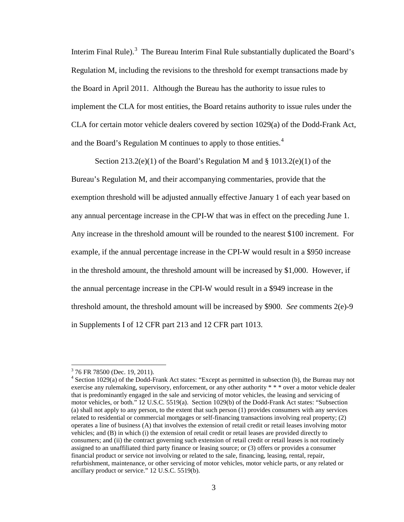Interim Final Rule).<sup>[3](#page-1-1)</sup> The Bureau Interim Final Rule substantially duplicated the Board's Regulation M, including the revisions to the threshold for exempt transactions made by the Board in April 2011. Although the Bureau has the authority to issue rules to implement the CLA for most entities, the Board retains authority to issue rules under the CLA for certain motor vehicle dealers covered by section 1029(a) of the Dodd-Frank Act, and the Board's Regulation M continues to apply to those entities.<sup>[4](#page-2-0)</sup>

Section 213.2(e)(1) of the Board's Regulation M and § 1013.2(e)(1) of the Bureau's Regulation M, and their accompanying commentaries, provide that the exemption threshold will be adjusted annually effective January 1 of each year based on any annual percentage increase in the CPI-W that was in effect on the preceding June 1. Any increase in the threshold amount will be rounded to the nearest \$100 increment. For example, if the annual percentage increase in the CPI-W would result in a \$950 increase in the threshold amount, the threshold amount will be increased by \$1,000. However, if the annual percentage increase in the CPI-W would result in a \$949 increase in the threshold amount, the threshold amount will be increased by \$900. *See* comments 2(e)-9 in Supplements I of 12 CFR part 213 and 12 CFR part 1013.

<span id="page-2-0"></span> $376$  FR 78500 (Dec. 19, 2011).<br> $4$  Section 1029(a) of the Dodd-Frank Act states: "Except as permitted in subsection (b), the Bureau may not exercise any rulemaking, supervisory, enforcement, or any other authority \* \* \* over a motor vehicle dealer that is predominantly engaged in the sale and servicing of motor vehicles, the leasing and servicing of motor vehicles, or both." 12 U.S.C. 5519(a). Section 1029(b) of the Dodd-Frank Act states: "Subsection (a) shall not apply to any person, to the extent that such person (1) provides consumers with any services related to residential or commercial mortgages or self-financing transactions involving real property; (2) operates a line of business (A) that involves the extension of retail credit or retail leases involving motor vehicles; and (B) in which (i) the extension of retail credit or retail leases are provided directly to consumers; and (ii) the contract governing such extension of retail credit or retail leases is not routinely assigned to an unaffiliated third party finance or leasing source; or (3) offers or provides a consumer financial product or service not involving or related to the sale, financing, leasing, rental, repair, refurbishment, maintenance, or other servicing of motor vehicles, motor vehicle parts, or any related or ancillary product or service." 12 U.S.C. 5519(b).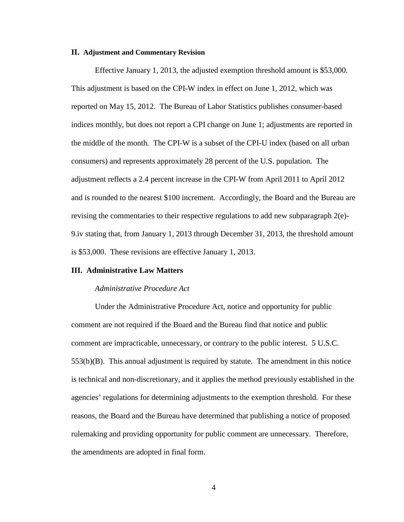#### **II. Adjustment and Commentary Revision**

Effective January 1, 2013, the adjusted exemption threshold amount is \$53,000. This adjustment is based on the CPI-W index in effect on June 1, 2012, which was reported on May 15, 2012. The Bureau of Labor Statistics publishes consumer-based indices monthly, but does not report a CPI change on June 1; adjustments are reported in the middle of the month. The CPI-W is a subset of the CPI-U index (based on all urban consumers) and represents approximately 28 percent of the U.S. population. The adjustment reflects a 2.4 percent increase in the CPI-W from April 2011 to April 2012 and is rounded to the nearest \$100 increment. Accordingly, the Board and the Bureau are revising the commentaries to their respective regulations to add new subparagraph  $2(e)$ -9.iv stating that, from January 1, 2013 through December 31, 2013, the threshold amount is \$53,000. These revisions are effective January 1, 2013.

#### **III. Administrative Law Matters**

#### *Administrative Procedure Act*

Under the Administrative Procedure Act, notice and opportunity for public comment are not required if the Board and the Bureau find that notice and public comment are impracticable, unnecessary, or contrary to the public interest. 5 U.S.C. 553(b)(B). This annual adjustment is required by statute. The amendment in this notice is technical and non-discretionary, and it applies the method previously established in the agencies' regulations for determining adjustments to the exemption threshold. For these reasons, the Board and the Bureau have determined that publishing a notice of proposed rulemaking and providing opportunity for public comment are unnecessary. Therefore, the amendments are adopted in final form.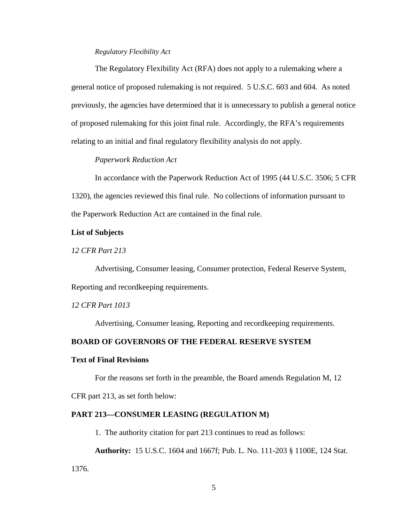# *Regulatory Flexibility Act*

The Regulatory Flexibility Act (RFA) does not apply to a rulemaking where a general notice of proposed rulemaking is not required. 5 U.S.C. 603 and 604. As noted previously, the agencies have determined that it is unnecessary to publish a general notice of proposed rulemaking for this joint final rule. Accordingly, the RFA's requirements relating to an initial and final regulatory flexibility analysis do not apply.

# *Paperwork Reduction Act*

In accordance with the Paperwork Reduction Act of 1995 (44 U.S.C. 3506; 5 CFR 1320), the agencies reviewed this final rule. No collections of information pursuant to the Paperwork Reduction Act are contained in the final rule.

## **List of Subjects**

*12 CFR Part 213*

Advertising, Consumer leasing, Consumer protection, Federal Reserve System, Reporting and recordkeeping requirements.

*12 CFR Part 1013*

Advertising, Consumer leasing, Reporting and recordkeeping requirements.

# **BOARD OF GOVERNORS OF THE FEDERAL RESERVE SYSTEM**

#### **Text of Final Revisions**

For the reasons set forth in the preamble, the Board amends Regulation M, 12

CFR part 213, as set forth below:

# **PART 213—CONSUMER LEASING (REGULATION M)**

1. The authority citation for part 213 continues to read as follows:

**Authority:** 15 U.S.C. 1604 and 1667f; Pub. L. No. 111-203 § 1100E, 124 Stat.

1376.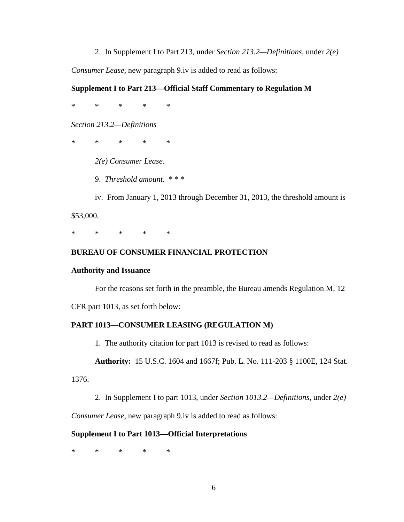2. In Supplement I to Part 213, under *Section 213.2—Definitions*, under *2(e)* 

*Consumer Lease*, new paragraph 9.iv is added to read as follows:

# **Supplement I to Part 213—Official Staff Commentary to Regulation M**

\* \* \* \* \*

*Section 213.2—Definitions*

\* \* \* \* \*

*2(e) Consumer Lease.* 

9. *Threshold amount.* \* \* \*

iv. From January 1, 2013 through December 31, 2013, the threshold amount is

\$53,000.

\* \* \* \* \*

## **BUREAU OF CONSUMER FINANCIAL PROTECTION**

#### **Authority and Issuance**

For the reasons set forth in the preamble, the Bureau amends Regulation M, 12

CFR part 1013, as set forth below:

## **PART 1013—CONSUMER LEASING (REGULATION M)**

1. The authority citation for part 1013 is revised to read as follows:

**Authority:** 15 U.S.C. 1604 and 1667f; Pub. L. No. 111-203 § 1100E, 124 Stat.

1376.

2. In Supplement I to part 1013, under *Section 1013.2—Definitions*, under *2(e)* 

*Consumer Lease*, new paragraph 9.iv is added to read as follows:

#### **Supplement I to Part 1013—Official Interpretations**

\* \* \* \* \*